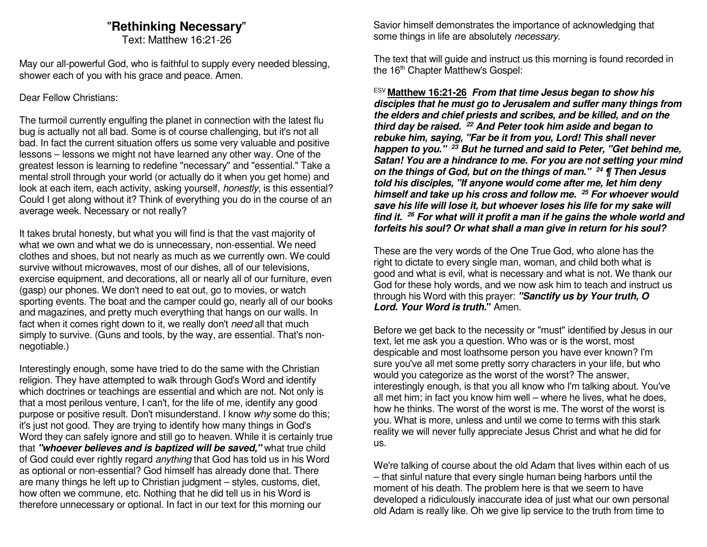### "**Rethinking Necessary**"

Text: Matthew 16:21-26

May our all-powerful God, who is faithful to supply every needed blessing, shower each of you with his grace and peace. Amen.

#### Dear Fellow Christians:

The turmoil currently engulfing the planet in connection with the latest flu bug is actually not all bad. Some is of course challenging, but it's not all bad. In fact the current situation offers us some very valuable and positive lessons – lessons we might not have learned any other way. One of the greatest lesson is learning to redefine "necessary" and "essential." Take a mental stroll through your world (or actually do it when you get home) and look at each item, each activity, asking yourself, *honestly*, is this essential? Could I get along without it? Think of everything you do in the course of an average week. Necessary or not really?

It takes brutal honesty, but what you will find is that the vast majority of what we own and what we do is unnecessary, non-essential. We need clothes and shoes, but not nearly as much as we currently own. We could survive without microwaves, most of our dishes, all of our televisions, exercise equipment, and decorations, all or nearly all of our furniture, even (gasp) our phones. We don't need to eat out, go to movies, or watch sporting events. The boat and the camper could go, nearly all of our books and magazines, and pretty much everything that hangs on our walls. In fact when it comes right down to it, we really don't need all that much simply to survive. (Guns and tools, by the way, are essential. That's nonnegotiable.)

Interestingly enough, some have tried to do the same with the Christian religion. They have attempted to walk through God's Word and identify which doctrines or teachings are essential and which are not. Not only is that a most perilous venture, I can't, for the life of me, identify any good purpose or positive result. Don't misunderstand. I know why some do this; it's just not good. They are trying to identify how many things in God's Word they can safely ignore and still go to heaven. While it is certainly true that **"whoever believes and is baptized will be saved,"** what true child of God could ever rightly regard anything that God has told us in his Word as optional or non-essential? God himself has already done that. There are many things he left up to Christian judgment – styles, customs, diet, how often we commune, etc. Nothing that he did tell us in his Word is therefore unnecessary or optional. In fact in our text for this morning our

Savior himself demonstrates the importance of acknowledging that some things in life are absolutely necessary.

The text that will guide and instruct us this morning is found recorded in the 16<sup>th</sup> Chapter Matthew's Gospel:

ESV **Matthew 16:21-26 From that time Jesus began to show his disciples that he must go to Jerusalem and suffer many things from the elders and chief priests and scribes, and be killed, and on the third day be raised. 22 And Peter took him aside and began to rebuke him, saying, "Far be it from you, Lord! This shall never happen to you." 23 But he turned and said to Peter, "Get behind me, Satan! You are a hindrance to me. For you are not setting your mind on the things of God, but on the things of man." 24 ¶ Then Jesus told his disciples, "If anyone would come after me, let him deny himself and take up his cross and follow me. <sup>25</sup> For whoever would save his life will lose it, but whoever loses his life for my sake will find it. <sup>26</sup> For what will it profit a man if he gains the whole world and forfeits his soul? Or what shall a man give in return for his soul?** 

These are the very words of the One True God, who alone has the right to dictate to every single man, woman, and child both what is good and what is evil, what is necessary and what is not. We thank our God for these holy words, and we now ask him to teach and instruct us through his Word with this prayer: **"Sanctify us by Your truth, O Lord. Your Word is truth."** Amen.

Before we get back to the necessity or "must" identified by Jesus in our text, let me ask you a question. Who was or is the worst, most despicable and most loathsome person you have ever known? I'm sure you've all met some pretty sorry characters in your life, but who would you categorize as the worst of the worst? The answer, interestingly enough, is that you all know who I'm talking about. You've all met him; in fact you know him well – where he lives, what he does, how he thinks. The worst of the worst is me. The worst of the worst is you. What is more, unless and until we come to terms with this stark reality we will never fully appreciate Jesus Christ and what he did for us.

We're talking of course about the old Adam that lives within each of us – that sinful nature that every single human being harbors until the moment of his death. The problem here is that we seem to have developed a ridiculously inaccurate idea of just what our own personal old Adam is really like. Oh we give lip service to the truth from time to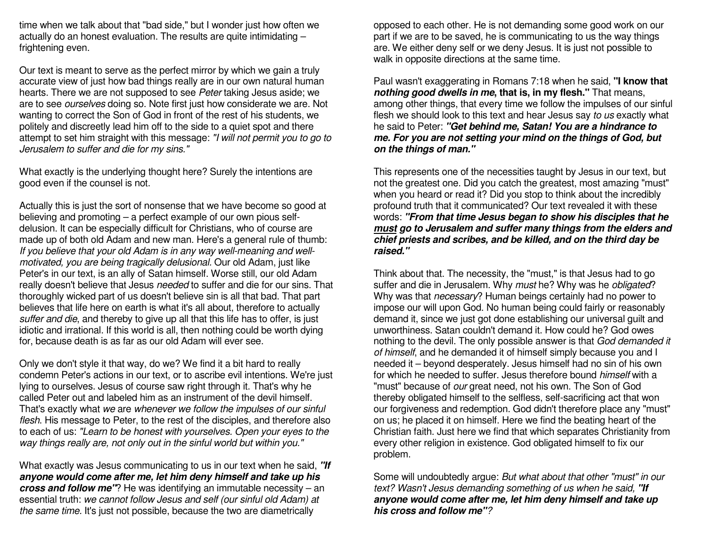time when we talk about that "bad side," but I wonder just how often we actually do an honest evaluation. The results are quite intimidating – frightening even.

Our text is meant to serve as the perfect mirror by which we gain a truly accurate view of just how bad things really are in our own natural human hearts. There we are not supposed to see Peter taking Jesus aside; we are to see *ourselves* doing so. Note first just how considerate we are. Not wanting to correct the Son of God in front of the rest of his students, we politely and discreetly lead him off to the side to a quiet spot and there attempt to set him straight with this message: "I will not permit you to go to Jerusalem to suffer and die for my sins."

What exactly is the underlying thought here? Surely the intentions are good even if the counsel is not.

Actually this is just the sort of nonsense that we have become so good at believing and promoting – a perfect example of our own pious selfdelusion. It can be especially difficult for Christians, who of course are made up of both old Adam and new man. Here's a general rule of thumb: If you believe that your old Adam is in any way well-meaning and wellmotivated, you are being tragically delusional. Our old Adam, just like Peter's in our text, is an ally of Satan himself. Worse still, our old Adam really doesn't believe that Jesus needed to suffer and die for our sins. That thoroughly wicked part of us doesn't believe sin is all that bad. That part believes that life here on earth is what it's all about, therefore to actually suffer and die, and thereby to give up all that this life has to offer, is just idiotic and irrational. If this world is all, then nothing could be worth dying for, because death is as far as our old Adam will ever see.

Only we don't style it that way, do we? We find it a bit hard to really condemn Peter's actions in our text, or to ascribe evil intentions. We're just lying to ourselves. Jesus of course saw right through it. That's why he called Peter out and labeled him as an instrument of the devil himself. That's exactly what we are whenever we follow the impulses of our sinful flesh. His message to Peter, to the rest of the disciples, and therefore also to each of us: "Learn to be honest with yourselves. Open your eyes to the way things really are, not only out in the sinful world but within you."

What exactly was Jesus communicating to us in our text when he said, **"If anyone would come after me, let him deny himself and take up his cross and follow me"**? He was identifying an immutable necessity – an essential truth: we cannot follow Jesus and self (our sinful old Adam) at the same time. It's just not possible, because the two are diametrically

opposed to each other. He is not demanding some good work on our part if we are to be saved, he is communicating to us the way things are. We either deny self or we deny Jesus. It is just not possible to walk in opposite directions at the same time.

Paul wasn't exaggerating in Romans 7:18 when he said, **"I know that nothing good dwells in me, that is, in my flesh."** That means, among other things, that every time we follow the impulses of our sinful flesh we should look to this text and hear Jesus say to us exactly what he said to Peter: **"Get behind me, Satan! You are a hindrance to me. For you are not setting your mind on the things of God, but on the things of man."**

This represents one of the necessities taught by Jesus in our text, but not the greatest one. Did you catch the greatest, most amazing "must" when you heard or read it? Did you stop to think about the incredibly profound truth that it communicated? Our text revealed it with these words: **"From that time Jesus began to show his disciples that he must go to Jerusalem and suffer many things from the elders and chief priests and scribes, and be killed, and on the third day be raised."**

Think about that. The necessity, the "must," is that Jesus had to go suffer and die in Jerusalem. Why must he? Why was he *obligated*? Why was that necessary? Human beings certainly had no power to impose our will upon God. No human being could fairly or reasonably demand it, since we just got done establishing our universal guilt and unworthiness. Satan couldn't demand it. How could he? God owes nothing to the devil. The only possible answer is that God demanded it of himself, and he demanded it of himself simply because you and I needed it – beyond desperately. Jesus himself had no sin of his own for which he needed to suffer. Jesus therefore bound himself with a "must" because of our great need, not his own. The Son of God thereby obligated himself to the selfless, self-sacrificing act that won our forgiveness and redemption. God didn't therefore place any "must" on us; he placed it on himself. Here we find the beating heart of the Christian faith. Just here we find that which separates Christianity from every other religion in existence. God obligated himself to fix our problem.

Some will undoubtedly argue: But what about that other "must" in our text? Wasn't Jesus demanding something of us when he said, **"If anyone would come after me, let him deny himself and take up his cross and follow me"**?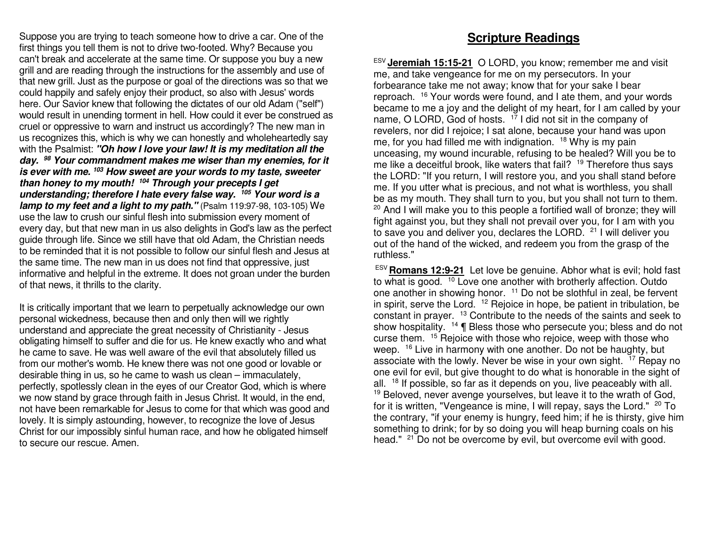Suppose you are trying to teach someone how to drive a car. One of the first things you tell them is not to drive two-footed. Why? Because you can't break and accelerate at the same time. Or suppose you buy a new grill and are reading through the instructions for the assembly and use of that new grill. Just as the purpose or goal of the directions was so that we could happily and safely enjoy their product, so also with Jesus' words here. Our Savior knew that following the dictates of our old Adam ("self") would result in unending torment in hell. How could it ever be construed as cruel or oppressive to warn and instruct us accordingly? The new man in us recognizes this, which is why we can honestly and wholeheartedly say with the Psalmist: **"Oh how I love your law! It is my meditation all the day. 98 Your commandment makes me wiser than my enemies, for it is ever with me. <sup>103</sup> How sweet are your words to my taste, sweeter than honey to my mouth! 104 Through your precepts I get understanding; therefore I hate every false way. <sup>105</sup> Your word is a lamp to my feet and a light to my path."** (Psalm 119:97-98, 103-105) We use the law to crush our sinful flesh into submission every moment of every day, but that new man in us also delights in God's law as the perfect guide through life. Since we still have that old Adam, the Christian needs to be reminded that it is not possible to follow our sinful flesh and Jesus at the same time. The new man in us does not find that oppressive, just informative and helpful in the extreme. It does not groan under the burden of that news, it thrills to the clarity.

It is critically important that we learn to perpetually acknowledge our own personal wickedness, because then and only then will we rightly understand and appreciate the great necessity of Christianity - Jesus obligating himself to suffer and die for us. He knew exactly who and what he came to save. He was well aware of the evil that absolutely filled us from our mother's womb. He knew there was not one good or lovable or desirable thing in us, so he came to wash us clean – immaculately, perfectly, spotlessly clean in the eyes of our Creator God, which is where we now stand by grace through faith in Jesus Christ. It would, in the end, not have been remarkable for Jesus to come for that which was good and lovely. It is simply astounding, however, to recognize the love of Jesus Christ for our impossibly sinful human race, and how he obligated himself to secure our rescue. Amen.

#### **Scripture Readings**

ESV **Jeremiah 15:15-21** O LORD, you know; remember me and visit me, and take vengeance for me on my persecutors. In your forbearance take me not away; know that for your sake I bear reproach. <sup>16</sup> Your words were found, and I ate them, and your words became to me a joy and the delight of my heart, for I am called by your name, O LORD, God of hosts.  $1^7$  I did not sit in the company of revelers, nor did I rejoice; I sat alone, because your hand was upon me, for you had filled me with indignation.  $18$  Why is my pain unceasing, my wound incurable, refusing to be healed? Will you be to me like a deceitful brook, like waters that fail? <sup>19</sup> Therefore thus says the LORD: "If you return, I will restore you, and you shall stand before me. If you utter what is precious, and not what is worthless, you shall be as my mouth. They shall turn to you, but you shall not turn to them.  $20$  And I will make you to this people a fortified wall of bronze; they will fight against you, but they shall not prevail over you, for I am with you to save you and deliver you, declares the LORD. 21 I will deliver you out of the hand of the wicked, and redeem you from the grasp of the ruthless."

 ESV **Romans 12:9-21** Let love be genuine. Abhor what is evil; hold fastto what is good. <sup>10</sup> Love one another with brotherly affection. Outdo one another in showing honor. <sup>11</sup> Do not be slothful in zeal, be fervent in spirit, serve the Lord.  $12$  Rejoice in hope, be patient in tribulation, be constant in prayer. <sup>13</sup> Contribute to the needs of the saints and seek to show hospitality. <sup>14</sup> ¶ Bless those who persecute you; bless and do not curse them. <sup>15</sup> Rejoice with those who rejoice, weep with those who weep. <sup>16</sup> Live in harmony with one another. Do not be haughty, but associate with the lowly. Never be wise in your own sight. <sup>17</sup> Repay no one evil for evil, but give thought to do what is honorable in the sight of all. <sup>18</sup> If possible, so far as it depends on you, live peaceably with all. <sup>19</sup> Beloved, never avenge yourselves, but leave it to the wrath of God, for it is written, "Vengeance is mine, I will repay, says the Lord." <sup>20</sup> To the contrary, "if your enemy is hungry, feed him; if he is thirsty, give him something to drink; for by so doing you will heap burning coals on his head." <sup>21</sup> Do not be overcome by evil, but overcome evil with good.